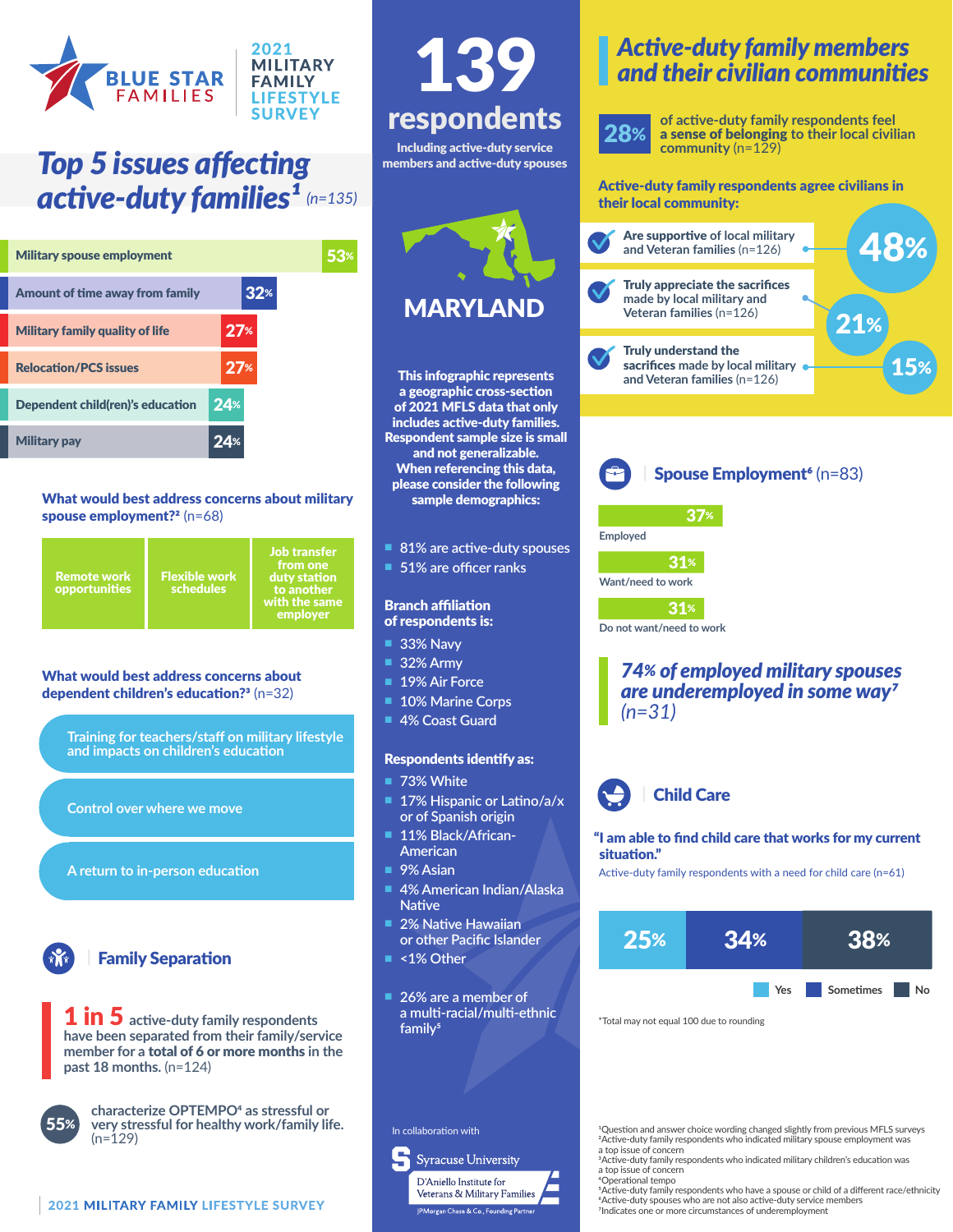

## *Top 5 issues affecting*  **active-duty families<sup>1</sup>** (n=135) **Active-duty family respondents agree civilians in**

| <b>Military spouse employment</b>      |       |
|----------------------------------------|-------|
| Amount of time away from family        | $32*$ |
| <b>Military family quality of life</b> | 27%   |
| <b>Relocation/PCS issues</b>           | 27%   |
| Dependent child(ren)'s education       | 24%   |
| <b>Military pay</b>                    | 24%   |

#### What would best address concerns about military spouse employment?<sup>2</sup> (n=68)

| <b>Remote work</b><br>opportunities | <b>Flexible work</b><br>schedules | <b>Job transfer</b><br>from one<br>duty station<br>to another<br>with the same<br>employer |
|-------------------------------------|-----------------------------------|--------------------------------------------------------------------------------------------|
|-------------------------------------|-----------------------------------|--------------------------------------------------------------------------------------------|

#### What would best address concerns about dependent children's education?<sup>3</sup> (n=32)

**Training for teachers/staff on military lifestyle and impacts on children's education**

**Control over where we move**

**A return to in-person education**

## **Family Separation**

1 in 5 **active-duty family respondents have been separated from their family/service member for a** total of 6 or more months **in the past 18 months.** (n=124)



**characterize OPTEMPO4 as stressful or very stressful for healthy work/family life.**  (n=129)







53%

This infographic represents a geographic cross-section of 2021 MFLS data that only includes active-duty families. Respondent sample size is small and not generalizable. When referencing this data, please consider the following sample demographics:

- n **81% are active-duty spouses**
- **51% are officer ranks**

#### Branch affiliation of respondents is:

- **33% Navy**
- **32% Army**
- **19% Air Force**
- **10% Marine Corps**
- n **4% Coast Guard**

#### Respondents identify as:

- **73% White**
- n **17% Hispanic or Latino/a/x or of Spanish origin**
- 11% Black/African-**American**
- **9% Asian**
- n **4% American Indian/Alaska Native**
- **2% Native Hawaiian or other Pacific Islander**
- n **<1% Other**
- n **26% are a member of a multi-racial/multi-ethnic family5**

#### In collaboration with



## *Active-duty family members and their civilian communities*



**of active-duty family respondents feel**  a sense of belonging **to their local civilian community** (n=129)

their local community:





**Want/need to work** 31%

31%

**Do not want/need to work**

### *74% of employed military spouses are underemployed in some way7 (n=31)*



#### "I am able to find child care that works for my current situation."

Active-duty family respondents with a need for child care (n=61)



\*Total may not equal 100 due to rounding

1Question and answer choice wording changed slightly from previous MFLS surveys 2Active-duty family respondents who indicated military spouse employment was a top issue of concern

3Active-duty family respondents who indicated military children's education was a top issue of concern

4Operational tempo

5Active-duty family respondents who have a spouse or child of a different race/ethnicity 6Active-duty spouses who are not also active-duty service members <sup>7</sup>Indicates one or more circumstances of underemployment